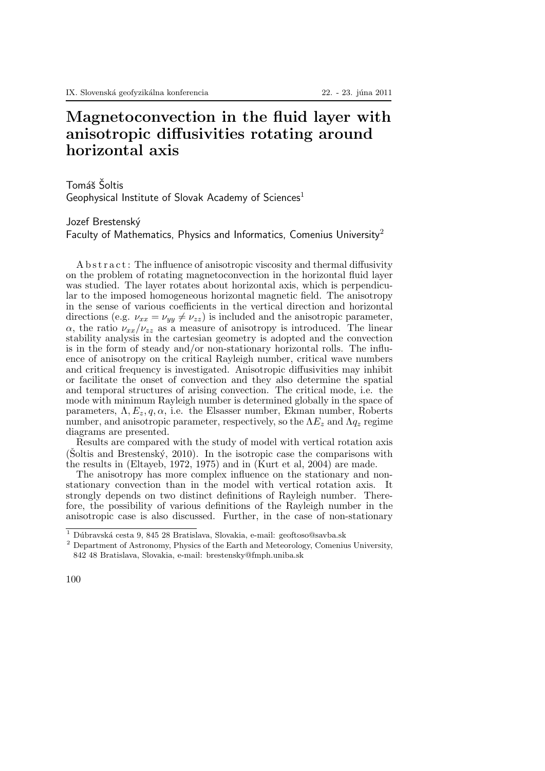## Magnetoconvection in the fluid layer with anisotropic diffusivities rotating around horizontal axis

Tomáš Šoltis Geophysical Institute of Slovak Academy of Sciences<sup>1</sup>

Jozef Brestenský

Faculty of Mathematics, Physics and Informatics, Comenius University<sup>2</sup>

A b s t r a c t : The influence of anisotropic viscosity and thermal diffusivity on the problem of rotating magnetoconvection in the horizontal fluid layer was studied. The layer rotates about horizontal axis, which is perpendicular to the imposed homogeneous horizontal magnetic field. The anisotropy in the sense of various coefficients in the vertical direction and horizontal directions (e.g.  $\nu_{xx} = \nu_{yy} \neq \nu_{zz}$ ) is included and the anisotropic parameter,  $\alpha$ , the ratio  $\nu_{xx}/\nu_{zz}$  as a measure of anisotropy is introduced. The linear stability analysis in the cartesian geometry is adopted and the convection is in the form of steady and/or non-stationary horizontal rolls. The influence of anisotropy on the critical Rayleigh number, critical wave numbers and critical frequency is investigated. Anisotropic diffusivities may inhibit or facilitate the onset of convection and they also determine the spatial and temporal structures of arising convection. The critical mode, i.e. the mode with minimum Rayleigh number is determined globally in the space of parameters,  $\Lambda, E_z, q, \alpha$ , i.e. the Elsasser number, Ekman number, Roberts number, and anisotropic parameter, respectively, so the  $\Lambda E_z$  and  $\Lambda q_z$  regime diagrams are presented.

Results are compared with the study of model with vertical rotation axis (Soltis and Brestenský, 2010). In the isotropic case the comparisons with the results in (Eltayeb, 1972, 1975) and in (Kurt et al, 2004) are made.

The anisotropy has more complex influence on the stationary and nonstationary convection than in the model with vertical rotation axis. It strongly depends on two distinct definitions of Rayleigh number. Therefore, the possibility of various definitions of the Rayleigh number in the anisotropic case is also discussed. Further, in the case of non-stationary

 $^{\rm 1}$  Dúbravská cesta 9, 845 28 Bratislava, Slovakia, e-mail: geoftoso@savba.sk

<sup>2</sup> Department of Astronomy, Physics of the Earth and Meteorology, Comenius University, 842 48 Bratislava, Slovakia, e-mail: brestensky@fmph.uniba.sk